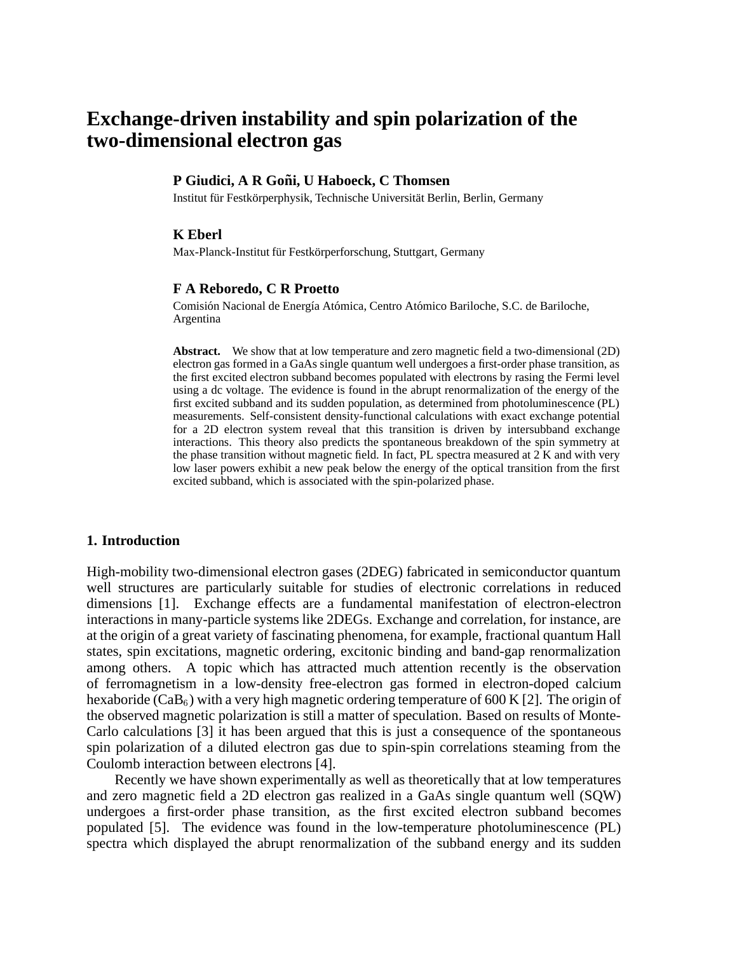# **Exchange-driven instability and spin polarization of the two-dimensional electron gas**

### **P** Giudici, A R Goñi, U Haboeck, C Thomsen

Institut für Festkörperphysik, Technische Universität Berlin, Berlin, Germany

#### **K Eberl**

Max-Planck-Institut für Festkörperforschung, Stuttgart, Germany

#### **F A Reboredo, C R Proetto**

Comisión Nacional de Energía Atómica, Centro Atómico Bariloche, S.C. de Bariloche, Argentina

**Abstract.** We show that at low temperature and zero magnetic field a two-dimensional (2D) electron gas formed in a GaAs single quantum well undergoes a first-order phase transition, as the first excited electron subband becomes populated with electrons by rasing the Fermi level using a dc voltage. The evidence is found in the abrupt renormalization of the energy of the first excited subband and its sudden population, as determined from photoluminescence (PL) measurements. Self-consistent density-functional calculations with exact exchange potential for a 2D electron system reveal that this transition is driven by intersubband exchange interactions. This theory also predicts the spontaneous breakdown of the spin symmetry at the phase transition without magnetic field. In fact, PL spectra measured at 2 K and with very low laser powers exhibit a new peak below the energy of the optical transition from the first excited subband, which is associated with the spin-polarized phase.

#### **1. Introduction**

High-mobility two-dimensional electron gases (2DEG) fabricated in semiconductor quantum well structures are particularly suitable for studies of electronic correlations in reduced dimensions [1]. Exchange effects are a fundamental manifestation of electron-electron interactions in many-particle systems like 2DEGs. Exchange and correlation, for instance, are at the origin of a great variety of fascinating phenomena, for example, fractional quantum Hall states, spin excitations, magnetic ordering, excitonic binding and band-gap renormalization among others. A topic which has attracted much attention recently is the observation of ferromagnetism in a low-density free-electron gas formed in electron-doped calcium hexaboride (CaB<sub>6</sub>) with a very high magnetic ordering temperature of 600 K [2]. The origin of the observed magnetic polarization is still a matter of speculation. Based on results of Monte-Carlo calculations [3] it has been argued that this is just a consequence of the spontaneous spin polarization of a diluted electron gas due to spin-spin correlations steaming from the Coulomb interaction between electrons [4].

Recently we have shown experimentally as well as theoretically that at low temperatures and zero magnetic field a 2D electron gas realized in a GaAs single quantum well (SQW) undergoes a first-order phase transition, as the first excited electron subband becomes populated [5]. The evidence was found in the low-temperature photoluminescence (PL) spectra which displayed the abrupt renormalization of the subband energy and its sudden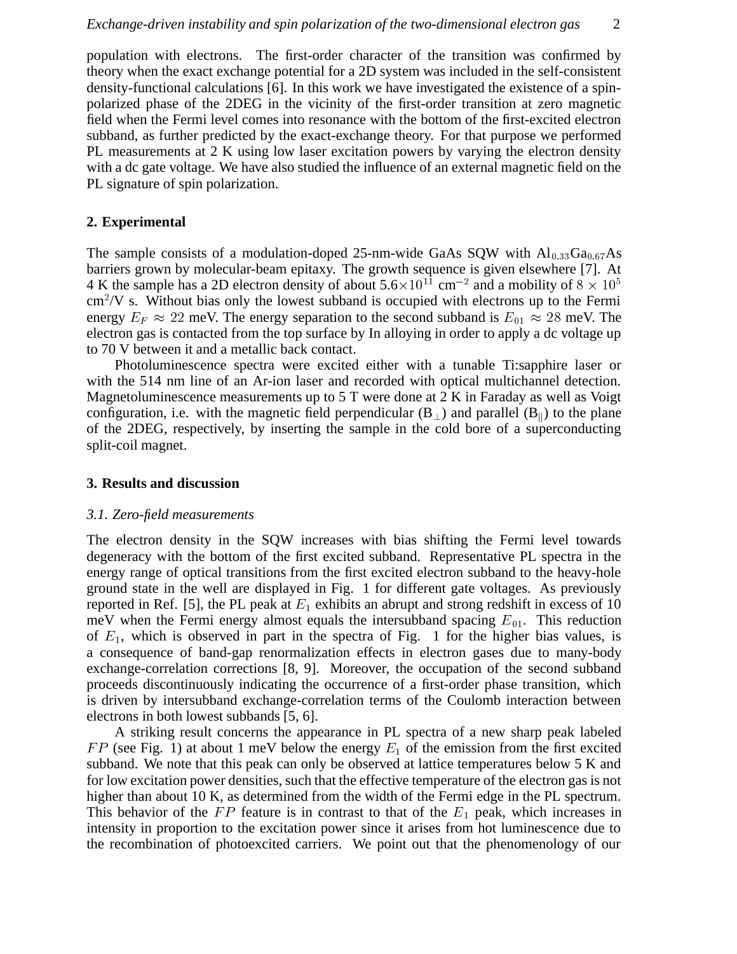population with electrons. The first-order character of the transition was confirmed by theory when the exact exchange potential for a 2D system was included in the self-consistent density-functional calculations [6]. In this work we have investigated the existence of a spinpolarized phase of the 2DEG in the vicinity of the first-order transition at zero magnetic field when the Fermi level comes into resonance with the bottom of the first-excited electron subband, as further predicted by the exact-exchange theory. For that purpose we performed PL measurements at 2 K using low laser excitation powers by varying the electron density with a dc gate voltage. We have also studied the influence of an external magnetic field on the PL signature of spin polarization.

# **2. Experimental**

The sample consists of a modulation-doped 25-nm-wide GaAs SQW with  $Al_{0.33}Ga_{0.67}As$ barriers grown by molecular-beam epitaxy. The growth sequence is given elsewhere [7]. At 4 K the sample has a 2D electron density of about  $5.6 \times 10^{11}$  cm<sup>-2</sup> and a mobility of  $8 \times 10^5$  $\text{cm}^2$ /V s. Without bias only the lowest subband is occupied with electrons up to the Fermi energy  $E_F \approx 22$  meV. The energy separation to the second subband is  $E_{01} \approx 28$  meV. The electron gas is contacted from the top surface by In alloying in order to apply a dc voltage up to 70 V between it and a metallic back contact.

Photoluminescence spectra were excited either with a tunable Ti:sapphire laser or with the 514 nm line of an Ar-ion laser and recorded with optical multichannel detection. Magnetoluminescence measurements up to 5 T were done at 2 K in Faraday as well as Voigt configuration, i.e. with the magnetic field perpendicular  $(B_{\perp})$  and parallel  $(B_{\parallel})$  to the plane of the 2DEG, respectively, by inserting the sample in the cold bore of a superconducting split-coil magnet.

# **3. Results and discussion**

## *3.1. Zero-field measurements*

The electron density in the SQW increases with bias shifting the Fermi level towards degeneracy with the bottom of the first excited subband. Representative PL spectra in the energy range of optical transitions from the first excited electron subband to the heavy-hole ground state in the well are displayed in Fig. 1 for different gate voltages. As previously reported in Ref. [5], the PL peak at  $E_1$  exhibits an abrupt and strong redshift in excess of 10 meV when the Fermi energy almost equals the intersubband spacing  $E_{01}$ . This reduction of  $E_1$ , which is observed in part in the spectra of Fig. 1 for the higher bias values, is a consequence of band-gap renormalization effects in electron gases due to many-body exchange-correlation corrections [8, 9]. Moreover, the occupation of the second subband proceeds discontinuously indicating the occurrence of a first-order phase transition, which is driven by intersubband exchange-correlation terms of the Coulomb interaction between electrons in both lowest subbands [5, 6].

A striking result concerns the appearance in PL spectra of a new sharp peak labeled  $FP$  (see Fig. 1) at about 1 meV below the energy  $E_1$  of the emission from the first excited subband. We note that this peak can only be observed at lattice temperatures below 5 K and for low excitation power densities, such that the effective temperature of the electron gas is not higher than about 10 K, as determined from the width of the Fermi edge in the PL spectrum. This behavior of the  $FP$  feature is in contrast to that of the  $E_1$  peak, which increases in intensity in proportion to the excitation power since it arises from hot luminescence due to the recombination of photoexcited carriers. We point out that the phenomenology of our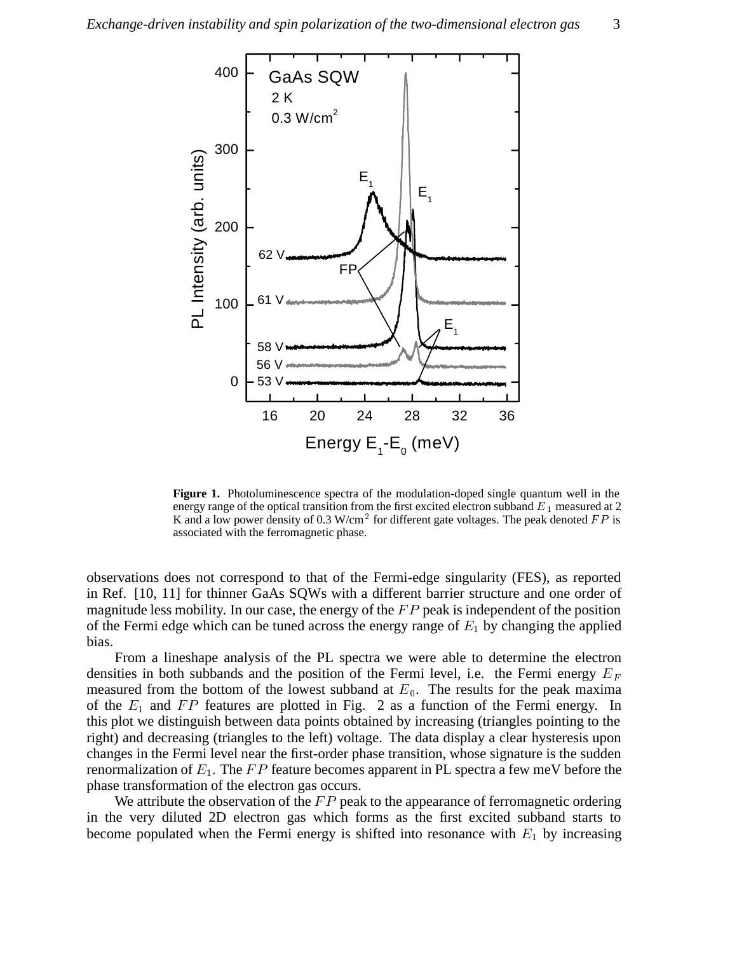

**Figure 1.** Photoluminescence spectra of the modulation-doped single quantum well in the energy range of the optical transition from the first excited electron subband  $E_1$  measured at 2 K and a low power density of 0.3 W/cm<sup>2</sup> for different gate voltages. The peak denoted  $FP$  is associated with the ferromagnetic phase.

observations does not correspond to that of the Fermi-edge singularity (FES), as reported in Ref. [10, 11] for thinner GaAs SQWs with a different barrier structure and one order of magnitude less mobility. In our case, the energy of the  $FP$  peak is independent of the position of the Fermi edge which can be tuned across the energy range of  $E_1$  by changing the applied bias.

From a lineshape analysis of the PL spectra we were able to determine the electron densities in both subbands and the position of the Fermi level, i.e. the Fermi energy  $E_F$ measured from the bottom of the lowest subband at  $E_0$ . The results for the peak maxima of the  $E_1$  and  $FP$  features are plotted in Fig. 2 as a function of the Fermi energy. In this plot we distinguish between data points obtained by increasing (triangles pointing to the right) and decreasing (triangles to the left) voltage. The data display a clear hysteresis upon changes in the Fermi level near the first-order phase transition, whose signature is the sudden renormalization of  $E_1$ . The FP feature becomes apparent in PL spectra a few meV before the phase transformation of the electron gas occurs.

We attribute the observation of the  $FP$  peak to the appearance of ferromagnetic ordering in the very diluted 2D electron gas which forms as the first excited subband starts to become populated when the Fermi energy is shifted into resonance with  $E_1$  by increasing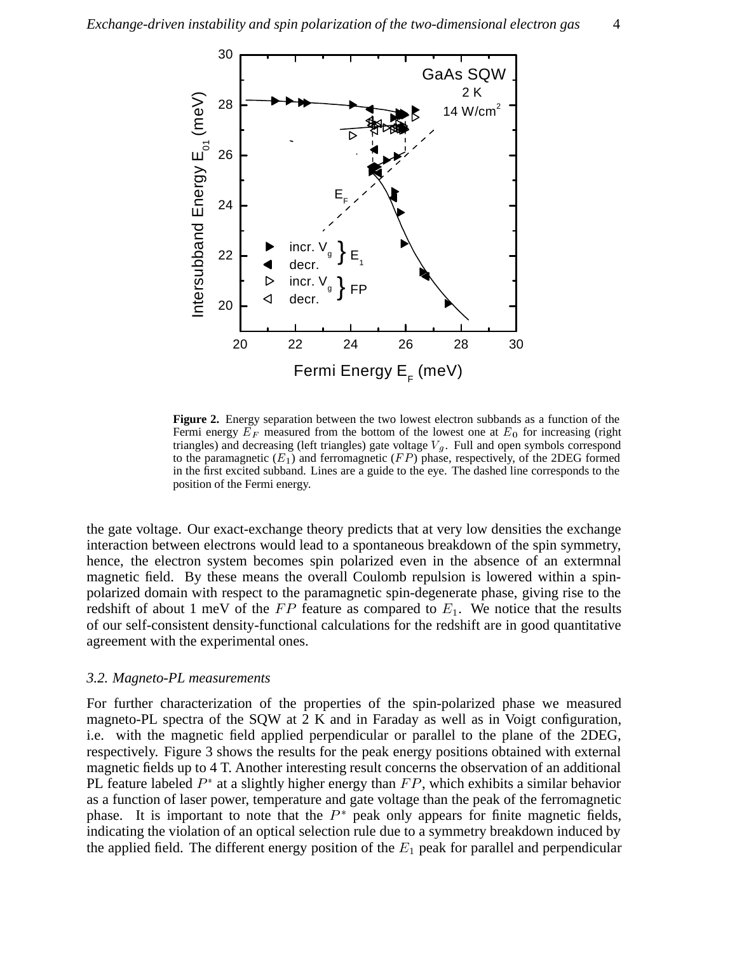

**Figure 2.** Energy separation between the two lowest electron subbands as a function of the Fermi energy  $E_F$  measured from the bottom of the lowest one at  $E_0$  for increasing (right triangles) and decreasing (left triangles) gate voltage  $V_g$ . Full and open symbols correspond to the paramagnetic  $(E_1)$  and ferromagnetic  $(FP)$  phase, respectively, of the 2DEG formed in the first excited subband. Lines are a guide to the eye. The dashed line corresponds to the position of the Fermi energy.

the gate voltage. Our exact-exchange theory predicts that at very low densities the exchange interaction between electrons would lead to a spontaneous breakdown of the spin symmetry, hence, the electron system becomes spin polarized even in the absence of an extermnal magnetic field. By these means the overall Coulomb repulsion is lowered within a spinpolarized domain with respect to the paramagnetic spin-degenerate phase, giving rise to the redshift of about 1 meV of the  $FP$  feature as compared to  $E_1$ . We notice that the results of our self-consistent density-functional calculations for the redshift are in good quantitative agreement with the experimental ones.

# *3.2. Magneto-PL measurements*

For further characterization of the properties of the spin-polarized phase we measured magneto-PL spectra of the SQW at 2 K and in Faraday as well as in Voigt configuration, i.e. with the magnetic field applied perpendicular or parallel to the plane of the 2DEG, respectively. Figure 3 shows the results for the peak energy positions obtained with external magnetic fields up to 4 T. Another interesting result concerns the observation of an additional PL feature labeled  $P^*$  at a slightly higher energy than  $FP$ , which exhibits a similar behavior as a function of laser power, temperature and gate voltage than the peak of the ferromagnetic phase. It is important to note that the  $P^*$  peak only appears for finite magnetic fields, indicating the violation of an optical selection rule due to a symmetry breakdown induced by the applied field. The different energy position of the  $E_1$  peak for parallel and perpendicular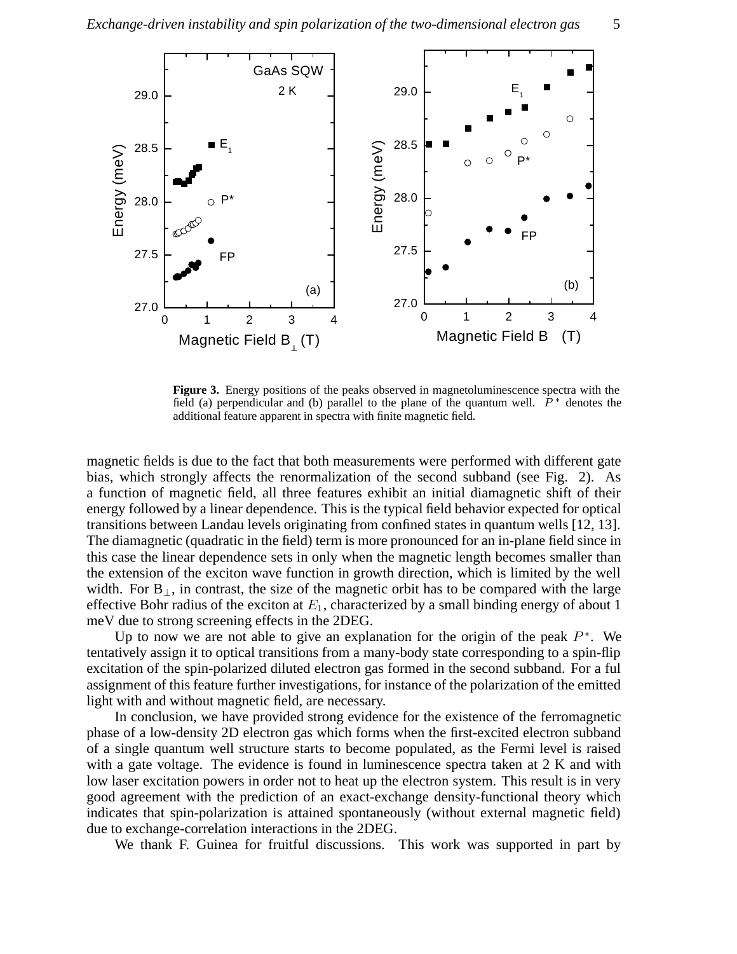

**Figure 3.** Energy positions of the peaks observed in magnetoluminescence spectra with the field (a) perpendicular and (b) parallel to the plane of the quantum well.  $P^*$  denotes the additional feature apparent in spectra with finite magnetic field.

magnetic fields is due to the fact that both measurements were performed with different gate bias, which strongly affects the renormalization of the second subband (see Fig. 2). As a function of magnetic field, all three features exhibit an initial diamagnetic shift of their energy followed by a linear dependence. This is the typical field behavior expected for optical transitions between Landau levels originating from confined states in quantum wells [12, 13]. The diamagnetic (quadratic in the field) term is more pronounced for an in-plane field since in this case the linear dependence sets in only when the magnetic length becomes smaller than the extension of the exciton wave function in growth direction, which is limited by the well width. For  $B_{\perp}$ , in contrast, the size of the magnetic orbit has to be compared with the large effective Bohr radius of the exciton at  $E_1$ , characterized by a small binding energy of about 1 meV due to strong screening effects in the 2DEG.

Up to now we are not able to give an explanation for the origin of the peak  $P^*$ . We tentatively assign it to optical transitions from a many-body state corresponding to a spin-flip excitation of the spin-polarized diluted electron gas formed in the second subband. For a ful assignment of this feature further investigations, for instance of the polarization of the emitted light with and without magnetic field, are necessary.

In conclusion, we have provided strong evidence for the existence of the ferromagnetic phase of a low-density 2D electron gas which forms when the first-excited electron subband of a single quantum well structure starts to become populated, as the Fermi level is raised with a gate voltage. The evidence is found in luminescence spectra taken at 2 K and with low laser excitation powers in order not to heat up the electron system. This result is in very good agreement with the prediction of an exact-exchange density-functional theory which indicates that spin-polarization is attained spontaneously (without external magnetic field) due to exchange-correlation interactions in the 2DEG.

We thank F. Guinea for fruitful discussions. This work was supported in part by